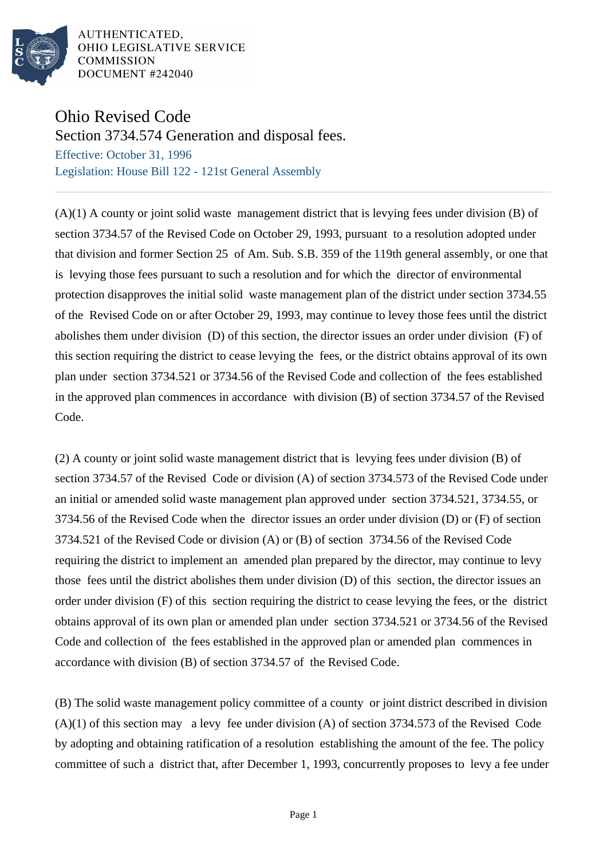

AUTHENTICATED. OHIO LEGISLATIVE SERVICE **COMMISSION** DOCUMENT #242040

## Ohio Revised Code

Section 3734.574 Generation and disposal fees.

Effective: October 31, 1996 Legislation: House Bill 122 - 121st General Assembly

(A)(1) A county or joint solid waste management district that is levying fees under division (B) of section 3734.57 of the Revised Code on October 29, 1993, pursuant to a resolution adopted under that division and former Section 25 of Am. Sub. S.B. 359 of the 119th general assembly, or one that is levying those fees pursuant to such a resolution and for which the director of environmental protection disapproves the initial solid waste management plan of the district under section 3734.55 of the Revised Code on or after October 29, 1993, may continue to levey those fees until the district abolishes them under division (D) of this section, the director issues an order under division (F) of this section requiring the district to cease levying the fees, or the district obtains approval of its own plan under section 3734.521 or 3734.56 of the Revised Code and collection of the fees established in the approved plan commences in accordance with division (B) of section 3734.57 of the Revised Code.

(2) A county or joint solid waste management district that is levying fees under division (B) of section 3734.57 of the Revised Code or division (A) of section 3734.573 of the Revised Code under an initial or amended solid waste management plan approved under section 3734.521, 3734.55, or 3734.56 of the Revised Code when the director issues an order under division (D) or (F) of section 3734.521 of the Revised Code or division (A) or (B) of section 3734.56 of the Revised Code requiring the district to implement an amended plan prepared by the director, may continue to levy those fees until the district abolishes them under division (D) of this section, the director issues an order under division (F) of this section requiring the district to cease levying the fees, or the district obtains approval of its own plan or amended plan under section 3734.521 or 3734.56 of the Revised Code and collection of the fees established in the approved plan or amended plan commences in accordance with division (B) of section 3734.57 of the Revised Code.

(B) The solid waste management policy committee of a county or joint district described in division (A)(1) of this section may a levy fee under division (A) of section 3734.573 of the Revised Code by adopting and obtaining ratification of a resolution establishing the amount of the fee. The policy committee of such a district that, after December 1, 1993, concurrently proposes to levy a fee under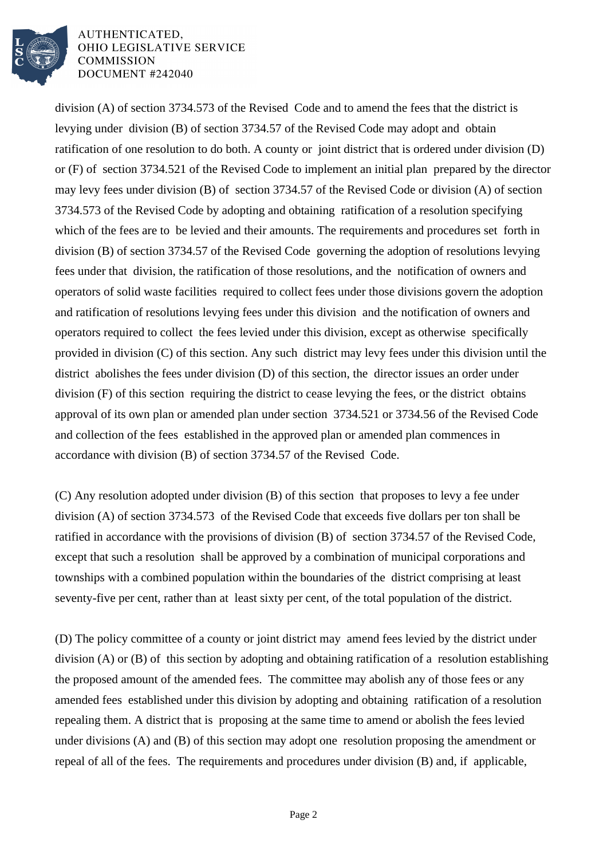

AUTHENTICATED, OHIO LEGISLATIVE SERVICE **COMMISSION** DOCUMENT #242040

division (A) of section 3734.573 of the Revised Code and to amend the fees that the district is levying under division (B) of section 3734.57 of the Revised Code may adopt and obtain ratification of one resolution to do both. A county or joint district that is ordered under division (D) or (F) of section 3734.521 of the Revised Code to implement an initial plan prepared by the director may levy fees under division (B) of section 3734.57 of the Revised Code or division (A) of section 3734.573 of the Revised Code by adopting and obtaining ratification of a resolution specifying which of the fees are to be levied and their amounts. The requirements and procedures set forth in division (B) of section 3734.57 of the Revised Code governing the adoption of resolutions levying fees under that division, the ratification of those resolutions, and the notification of owners and operators of solid waste facilities required to collect fees under those divisions govern the adoption and ratification of resolutions levying fees under this division and the notification of owners and operators required to collect the fees levied under this division, except as otherwise specifically provided in division (C) of this section. Any such district may levy fees under this division until the district abolishes the fees under division (D) of this section, the director issues an order under division (F) of this section requiring the district to cease levying the fees, or the district obtains approval of its own plan or amended plan under section 3734.521 or 3734.56 of the Revised Code and collection of the fees established in the approved plan or amended plan commences in accordance with division (B) of section 3734.57 of the Revised Code.

(C) Any resolution adopted under division (B) of this section that proposes to levy a fee under division (A) of section 3734.573 of the Revised Code that exceeds five dollars per ton shall be ratified in accordance with the provisions of division (B) of section 3734.57 of the Revised Code, except that such a resolution shall be approved by a combination of municipal corporations and townships with a combined population within the boundaries of the district comprising at least seventy-five per cent, rather than at least sixty per cent, of the total population of the district.

(D) The policy committee of a county or joint district may amend fees levied by the district under division (A) or (B) of this section by adopting and obtaining ratification of a resolution establishing the proposed amount of the amended fees. The committee may abolish any of those fees or any amended fees established under this division by adopting and obtaining ratification of a resolution repealing them. A district that is proposing at the same time to amend or abolish the fees levied under divisions (A) and (B) of this section may adopt one resolution proposing the amendment or repeal of all of the fees. The requirements and procedures under division (B) and, if applicable,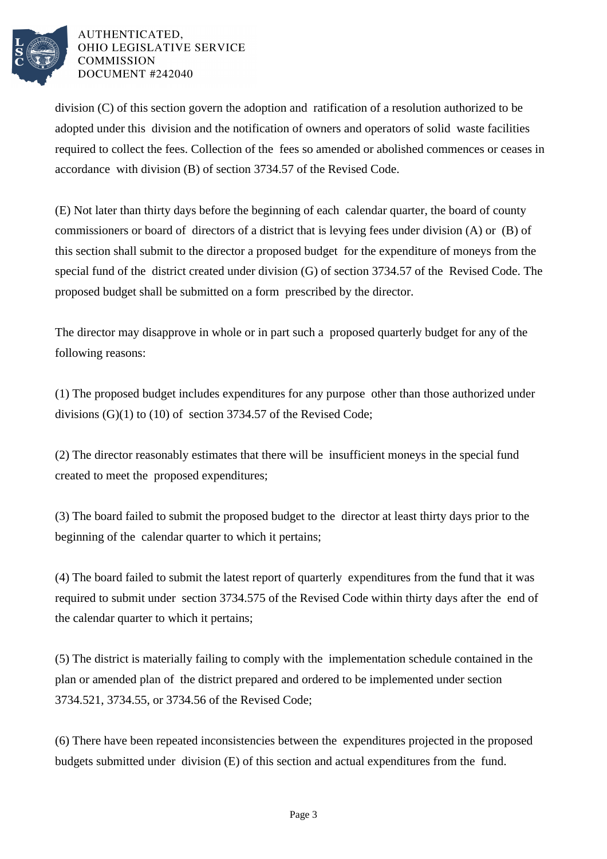

AUTHENTICATED. OHIO LEGISLATIVE SERVICE **COMMISSION** DOCUMENT #242040

division (C) of this section govern the adoption and ratification of a resolution authorized to be adopted under this division and the notification of owners and operators of solid waste facilities required to collect the fees. Collection of the fees so amended or abolished commences or ceases in accordance with division (B) of section 3734.57 of the Revised Code.

(E) Not later than thirty days before the beginning of each calendar quarter, the board of county commissioners or board of directors of a district that is levying fees under division (A) or (B) of this section shall submit to the director a proposed budget for the expenditure of moneys from the special fund of the district created under division (G) of section 3734.57 of the Revised Code. The proposed budget shall be submitted on a form prescribed by the director.

The director may disapprove in whole or in part such a proposed quarterly budget for any of the following reasons:

(1) The proposed budget includes expenditures for any purpose other than those authorized under divisions (G)(1) to (10) of section 3734.57 of the Revised Code;

(2) The director reasonably estimates that there will be insufficient moneys in the special fund created to meet the proposed expenditures;

(3) The board failed to submit the proposed budget to the director at least thirty days prior to the beginning of the calendar quarter to which it pertains;

(4) The board failed to submit the latest report of quarterly expenditures from the fund that it was required to submit under section 3734.575 of the Revised Code within thirty days after the end of the calendar quarter to which it pertains;

(5) The district is materially failing to comply with the implementation schedule contained in the plan or amended plan of the district prepared and ordered to be implemented under section 3734.521, 3734.55, or 3734.56 of the Revised Code;

(6) There have been repeated inconsistencies between the expenditures projected in the proposed budgets submitted under division (E) of this section and actual expenditures from the fund.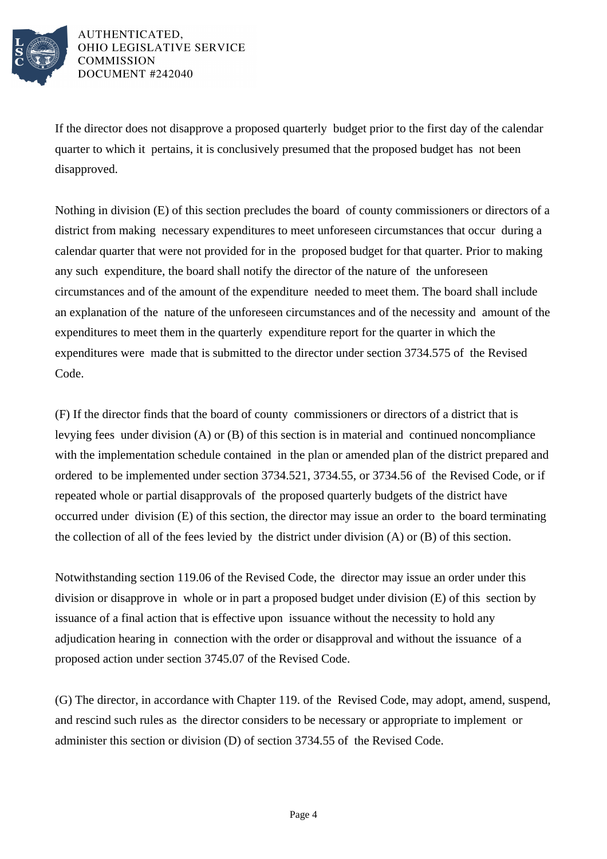

AUTHENTICATED. OHIO LEGISLATIVE SERVICE **COMMISSION DOCUMENT #242040** 

If the director does not disapprove a proposed quarterly budget prior to the first day of the calendar quarter to which it pertains, it is conclusively presumed that the proposed budget has not been disapproved.

Nothing in division (E) of this section precludes the board of county commissioners or directors of a district from making necessary expenditures to meet unforeseen circumstances that occur during a calendar quarter that were not provided for in the proposed budget for that quarter. Prior to making any such expenditure, the board shall notify the director of the nature of the unforeseen circumstances and of the amount of the expenditure needed to meet them. The board shall include an explanation of the nature of the unforeseen circumstances and of the necessity and amount of the expenditures to meet them in the quarterly expenditure report for the quarter in which the expenditures were made that is submitted to the director under section 3734.575 of the Revised Code.

(F) If the director finds that the board of county commissioners or directors of a district that is levying fees under division (A) or (B) of this section is in material and continued noncompliance with the implementation schedule contained in the plan or amended plan of the district prepared and ordered to be implemented under section 3734.521, 3734.55, or 3734.56 of the Revised Code, or if repeated whole or partial disapprovals of the proposed quarterly budgets of the district have occurred under division (E) of this section, the director may issue an order to the board terminating the collection of all of the fees levied by the district under division (A) or (B) of this section.

Notwithstanding section 119.06 of the Revised Code, the director may issue an order under this division or disapprove in whole or in part a proposed budget under division (E) of this section by issuance of a final action that is effective upon issuance without the necessity to hold any adjudication hearing in connection with the order or disapproval and without the issuance of a proposed action under section 3745.07 of the Revised Code.

(G) The director, in accordance with Chapter 119. of the Revised Code, may adopt, amend, suspend, and rescind such rules as the director considers to be necessary or appropriate to implement or administer this section or division (D) of section 3734.55 of the Revised Code.